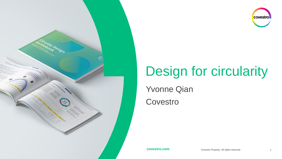

# covestro

## Design for circularity

Yvonne Qian

**Covestro**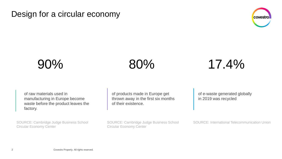Design for a circular economy







of raw materials used in manufacturing in Europe become waste before the product leaves the factory.

SOURCE: Cambridge Judge Business School Circular Economy Center

of products made in Europe get thrown away in the first six months of their existence.

SOURCE: Cambridge Judge Business School Circular Economy Center

of e-waste generated globally in 2019 was recycled

SOURCE: International Telecommunication Union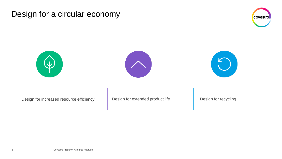### Design for a circular economy









Design for increased resource efficiency <br>
Design for extended product life Design for recycling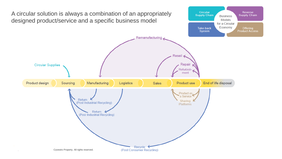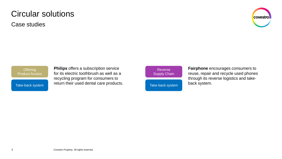### Circular solutions

Case studies



**Offering** Product Access

Take-back system

**Philips** offers a subscription service for its electric toothbrush as well as a recycling program for consumers to return their used dental care products.

Reverse Supply Chain

Take-back system

**Fairphone** encourages consumers to reuse, repair and recycle used phones through its reverse logistics and takeback system.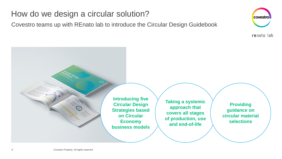## How do we design a circular solution?

Covestro teams up with REnato lab to introduce the Circular Design Guidebook



renato lab



**Taking a systemic approach that covers all stages of production, use and end-of-life** 

**Providing guidance on circular material selections**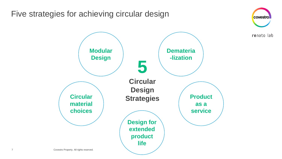Five strategies for achieving circular design



covestro

renato lab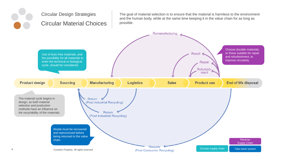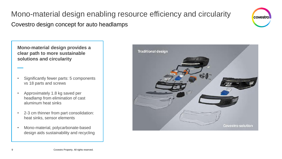## Mono-material design enabling resource efficiency and circularity Covestro design concept for auto headlamps



**Mono-material design provides a clear path to more sustainable solutions and circularity**

- Significantly fewer parts: 5 components vs 18 parts and screws
- Approximately 1.8 kg saved per headlamp from elimination of cast aluminum heat sinks
- 2-3 cm thinner from part consolidation: heat sinks, sensor elements
- Mono-material, polycarbonate-based design aids sustainability and recycling

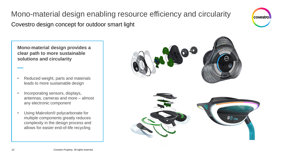## Mono-material design enabling resource efficiency and circularity Covestro design concept for outdoor smart light



**Mono-material design provides a clear path to more sustainable solutions and circularity**

- Reduced weight, parts and materials leads to more sustainable design
- Incorporating sensors, displays, antennas, cameras and more – almost any electronic component
- Using Makrolon® polycarbonate for multiple components greatly reduces complexity in the design process and allows for easier end-of-life recycling

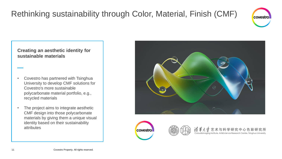

#### **Creating an aesthetic identity for sustainable materials**

- Covestro has partnered with Tsinghua University to develop CMF solutions for Covestro's more sustainable polycarbonate material portfolio, e.g., recycled materials
- The project aims to integrate aesthetic CMF design into those polycarbonate materials by giving them a unique visual identity based on their sustainability attributes





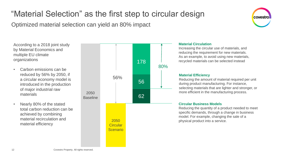## "Material Selection" as the first step to circular design

Optimized material selection can yield an 80% impact

According to a 2018 joint study by Material Economics and multiple EU climate organizations

- Carbon emissions can be reduced by 56% by 2050, if a circular economy model is introduced in the production of major industrial raw materials
- Nearly 80% of the stated total carbon reduction can be achieved by combining material recirculation and material efficiency



#### **Material Circulation**

Increasing the circular use of materials, and reducing the requirement for new materials. As an example, to avoid using new materials, recycled materials can be selected instead

covestro

#### **Material Efficiency**

Reducing the amount of material required per unit during product manufacturing. For instance, selecting materials that are lighter and stronger, or more efficient in the manufacturing process.

#### **Circular Business Models**

Reducing the quantity of a product needed to meet specific demands, through a change in business model. For example, changing the sale of a physical product into a service.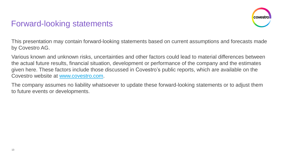## Forward-looking statements



This presentation may contain forward-looking statements based on current assumptions and forecasts made by Covestro AG.

Various known and unknown risks, uncertainties and other factors could lead to material differences between the actual future results, financial situation, development or performance of the company and the estimates given here. These factors include those discussed in Covestro's public reports, which are available on the Covestro website at [www.covestro.com](http://www.covestro.com/).

The company assumes no liability whatsoever to update these forward-looking statements or to adjust them to future events or developments.